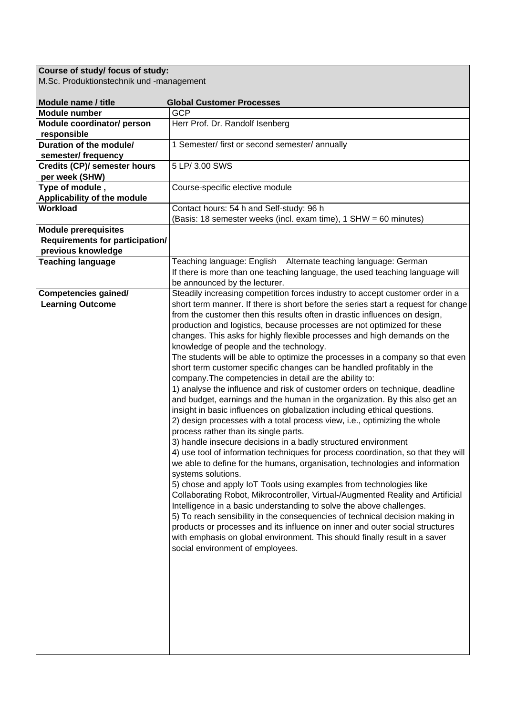## **Course of study/ focus of study:**

M.Sc. Produktionstechnik und -management

| Module name / title                    | <b>Global Customer Processes</b>                                                  |
|----------------------------------------|-----------------------------------------------------------------------------------|
| <b>Module number</b>                   | <b>GCP</b>                                                                        |
| Module coordinator/ person             | Herr Prof. Dr. Randolf Isenberg                                                   |
| responsible                            |                                                                                   |
| Duration of the module/                | 1 Semester/ first or second semester/ annually                                    |
| semester/ frequency                    |                                                                                   |
| <b>Credits (CP)/ semester hours</b>    | 5 LP/ 3.00 SWS                                                                    |
| per week (SHW)                         |                                                                                   |
| Type of module,                        | Course-specific elective module                                                   |
| Applicability of the module            |                                                                                   |
| Workload                               | Contact hours: 54 h and Self-study: 96 h                                          |
|                                        | (Basis: 18 semester weeks (incl. exam time), 1 SHW = 60 minutes)                  |
| <b>Module prerequisites</b>            |                                                                                   |
| <b>Requirements for participation/</b> |                                                                                   |
| previous knowledge                     |                                                                                   |
| <b>Teaching language</b>               | Teaching language: English Alternate teaching language: German                    |
|                                        | If there is more than one teaching language, the used teaching language will      |
|                                        | be announced by the lecturer.                                                     |
| <b>Competencies gained/</b>            | Steadily increasing competition forces industry to accept customer order in a     |
| <b>Learning Outcome</b>                | short term manner. If there is short before the series start a request for change |
|                                        | from the customer then this results often in drastic influences on design,        |
|                                        | production and logistics, because processes are not optimized for these           |
|                                        | changes. This asks for highly flexible processes and high demands on the          |
|                                        | knowledge of people and the technology.                                           |
|                                        | The students will be able to optimize the processes in a company so that even     |
|                                        | short term customer specific changes can be handled profitably in the             |
|                                        | company. The competencies in detail are the ability to:                           |
|                                        | 1) analyse the influence and risk of customer orders on technique, deadline       |
|                                        | and budget, earnings and the human in the organization. By this also get an       |
|                                        | insight in basic influences on globalization including ethical questions.         |
|                                        | 2) design processes with a total process view, i.e., optimizing the whole         |
|                                        | process rather than its single parts.                                             |
|                                        | 3) handle insecure decisions in a badly structured environment                    |
|                                        | 4) use tool of information techniques for process coordination, so that they will |
|                                        | we able to define for the humans, organisation, technologies and information      |
|                                        |                                                                                   |
|                                        | systems solutions.                                                                |
|                                        | 5) chose and apply IoT Tools using examples from technologies like                |
|                                        | Collaborating Robot, Mikrocontroller, Virtual-/Augmented Reality and Artificial   |
|                                        | Intelligence in a basic understanding to solve the above challenges.              |
|                                        | 5) To reach sensibility in the consequencies of technical decision making in      |
|                                        | products or processes and its influence on inner and outer social structures      |
|                                        | with emphasis on global environment. This should finally result in a saver        |
|                                        | social environment of employees.                                                  |
|                                        |                                                                                   |
|                                        |                                                                                   |
|                                        |                                                                                   |
|                                        |                                                                                   |
|                                        |                                                                                   |
|                                        |                                                                                   |
|                                        |                                                                                   |
|                                        |                                                                                   |
|                                        |                                                                                   |
|                                        |                                                                                   |